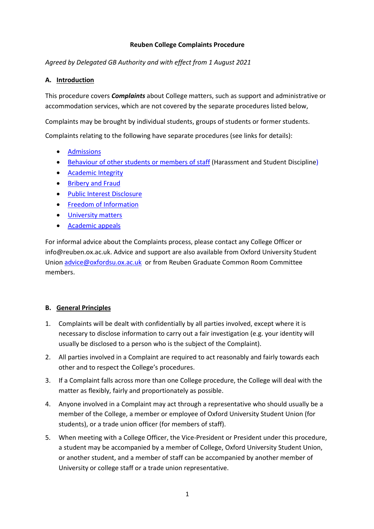### **Reuben College Complaints Procedure**

*Agreed by Delegated GB Authority and with effect from 1 August 2021*

## **A. Introduction**

This procedure covers *Complaints* about College matters, such as support and administrative or accommodation services, which are not covered by the separate procedures listed below,

Complaints may be brought by individual students, groups of students or former students.

Complaints relating to the following have separate procedures (see links for details):

- [Admissions](http://www.ox.ac.uk/admissions/graduate/applying-to-oxford/university-policies/complaints)
- [Behaviour of other students or members of staff](https://reuben.ox.ac.uk/governance-and-policies#tab-2960656) (Harassment and Student Discipline)
- [Academic Integrity](http://www.admin.ox.ac.uk/personnel/cops/researchintegrity/)
- [Bribery and Fraud](http://www.admin.ox.ac.uk/councilsec/compliance/briberyfraud/briberyfraudpolicy/)
- [Public Interest](http://www.admin.ox.ac.uk/personnel/cops/pid/) Disclosure
- [Freedom of Information](http://www.admin.ox.ac.uk/councilsec/compliance/foi/)
- [University matters](https://academic.admin.ox.ac.uk/files/universitystudentcomplaintsprocedure2020pdf)
- [Academic appeals](https://academic.web.ox.ac.uk/files/universitystudentappealproceduremt20pdf)

For informal advice about the Complaints process, please contact any College Officer or info@reuben.ox.ac.uk. Advice and support are also available from Oxford University Student Union [advice@oxfordsu.ox.ac.uk](mailto:advice@oxfordsu.ox.ac.uk) or from Reuben Graduate Common Room Committee members.

# **B. General Principles**

- 1. Complaints will be dealt with confidentially by all parties involved, except where it is necessary to disclose information to carry out a fair investigation (e.g. your identity will usually be disclosed to a person who is the subject of the Complaint).
- 2. All parties involved in a Complaint are required to act reasonably and fairly towards each other and to respect the College's procedures.
- 3. If a Complaint falls across more than one College procedure, the College will deal with the matter as flexibly, fairly and proportionately as possible.
- 4. Anyone involved in a Complaint may act through a representative who should usually be a member of the College, a member or employee of Oxford University Student Union (for students), or a trade union officer (for members of staff).
- 5. When meeting with a College Officer, the Vice-President or President under this procedure, a student may be accompanied by a member of College, Oxford University Student Union, or another student, and a member of staff can be accompanied by another member of University or college staff or a trade union representative.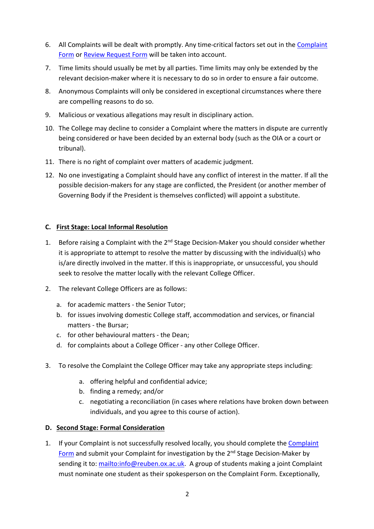- 6. All Complaints will be dealt with promptly. Any time-critical factors set out in the [Complaint](https://unioxfordnexus.sharepoint.com/:w:/r/sites/REUB-ReubenCollegeStudents/Shared%20Documents/Reuben%20College%20Student%20Complaint%20Form_July21.docx?d=w95cd5de57b7f45b3b0d8e386bf0c0c54&csf=1&web=1&e=zwF6hd)  [Form](https://unioxfordnexus.sharepoint.com/:w:/r/sites/REUB-ReubenCollegeStudents/Shared%20Documents/Reuben%20College%20Student%20Complaint%20Form_July21.docx?d=w95cd5de57b7f45b3b0d8e386bf0c0c54&csf=1&web=1&e=zwF6hd) or [Review Request Form](https://unioxfordnexus.sharepoint.com/:w:/r/sites/REUB-ReubenCollegeStudents/Shared%20Documents/Reuben%20College%20Student%20Complaint%20REVIEW%20form_July21.docx?d=w14c6da8ff9b34580afa8019e7215b09d&csf=1&web=1&e=OrmSP9) will be taken into account.
- 7. Time limits should usually be met by all parties. Time limits may only be extended by the relevant decision-maker where it is necessary to do so in order to ensure a fair outcome.
- 8. Anonymous Complaints will only be considered in exceptional circumstances where there are compelling reasons to do so.
- 9. Malicious or vexatious allegations may result in disciplinary action.
- 10. The College may decline to consider a Complaint where the matters in dispute are currently being considered or have been decided by an external body (such as the OIA or a court or tribunal).
- 11. There is no right of complaint over matters of academic judgment.
- 12. No one investigating a Complaint should have any conflict of interest in the matter. If all the possible decision-makers for any stage are conflicted, the President (or another member of Governing Body if the President is themselves conflicted) will appoint a substitute.

### **C. First Stage: Local Informal Resolution**

- 1. Before raising a Complaint with the 2<sup>nd</sup> Stage Decision-Maker you should consider whether it is appropriate to attempt to resolve the matter by discussing with the individual(s) who is/are directly involved in the matter. If this is inappropriate, or unsuccessful, you should seek to resolve the matter locally with the relevant College Officer.
- 2. The relevant College Officers are as follows:
	- a. for academic matters the Senior Tutor;
	- b. for issues involving domestic College staff, accommodation and services, or financial matters - the Bursar;
	- c. for other behavioural matters the Dean;
	- d. for complaints about a College Officer any other College Officer.
- 3. To resolve the Complaint the College Officer may take any appropriate steps including:
	- a. offering helpful and confidential advice;
	- b. finding a remedy; and/or
	- c. negotiating a reconciliation (in cases where relations have broken down between individuals, and you agree to this course of action).

### **D. Second Stage: Formal Consideration**

1. If your Complaint is not successfully resolved locally, you should complete the [Complaint](https://unioxfordnexus.sharepoint.com/:w:/r/sites/REUB-ReubenCollegeStudents/_layouts/15/Doc.aspx?sourcedoc=%7B95CD5DE5-7B7F-45B3-B0D8-E386BF0C0C54%7D&file=Reuben%20College%20Student%20Complaint%20Form_July21.docx&action=default&mobileredirect=true)  [Form](https://unioxfordnexus.sharepoint.com/:w:/r/sites/REUB-ReubenCollegeStudents/_layouts/15/Doc.aspx?sourcedoc=%7B95CD5DE5-7B7F-45B3-B0D8-E386BF0C0C54%7D&file=Reuben%20College%20Student%20Complaint%20Form_July21.docx&action=default&mobileredirect=true) and submit your Complaint for investigation by the 2<sup>nd</sup> Stage Decision-Maker by sending it to: [mailto:info@reuben.ox.ac.uk.](mailto:info@reuben.ox.ac.uk) A group of students making a joint Complaint must nominate one student as their spokesperson on the Complaint Form. Exceptionally,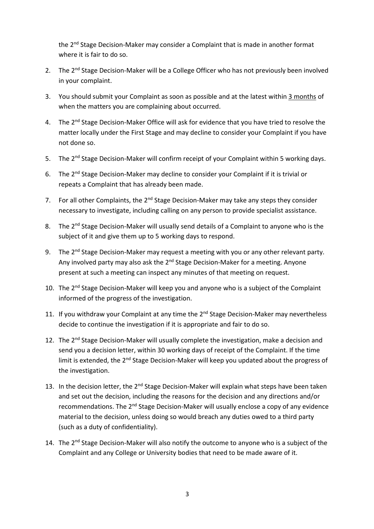the 2<sup>nd</sup> Stage Decision-Maker may consider a Complaint that is made in another format where it is fair to do so.

- 2. The 2<sup>nd</sup> Stage Decision-Maker will be a College Officer who has not previously been involved in your complaint.
- 3. You should submit your Complaint as soon as possible and at the latest within 3 months of when the matters you are complaining about occurred.
- 4. The 2<sup>nd</sup> Stage Decision-Maker Office will ask for evidence that you have tried to resolve the matter locally under the First Stage and may decline to consider your Complaint if you have not done so.
- 5. The 2<sup>nd</sup> Stage Decision-Maker will confirm receipt of your Complaint within 5 working days.
- 6. The 2<sup>nd</sup> Stage Decision-Maker may decline to consider your Complaint if it is trivial or repeats a Complaint that has already been made.
- 7. For all other Complaints, the 2<sup>nd</sup> Stage Decision-Maker may take any steps they consider necessary to investigate, including calling on any person to provide specialist assistance.
- 8. The 2<sup>nd</sup> Stage Decision-Maker will usually send details of a Complaint to anyone who is the subject of it and give them up to 5 working days to respond.
- 9. The 2<sup>nd</sup> Stage Decision-Maker may request a meeting with you or any other relevant party. Any involved party may also ask the 2<sup>nd</sup> Stage Decision-Maker for a meeting. Anyone present at such a meeting can inspect any minutes of that meeting on request.
- 10. The 2<sup>nd</sup> Stage Decision-Maker will keep you and anyone who is a subject of the Complaint informed of the progress of the investigation.
- 11. If you withdraw your Complaint at any time the 2<sup>nd</sup> Stage Decision-Maker may nevertheless decide to continue the investigation if it is appropriate and fair to do so.
- 12. The 2<sup>nd</sup> Stage Decision-Maker will usually complete the investigation, make a decision and send you a decision letter, within 30 working days of receipt of the Complaint. If the time limit is extended, the 2<sup>nd</sup> Stage Decision-Maker will keep you updated about the progress of the investigation.
- 13. In the decision letter, the 2<sup>nd</sup> Stage Decision-Maker will explain what steps have been taken and set out the decision, including the reasons for the decision and any directions and/or recommendations. The 2<sup>nd</sup> Stage Decision-Maker will usually enclose a copy of any evidence material to the decision, unless doing so would breach any duties owed to a third party (such as a duty of confidentiality).
- 14. The 2<sup>nd</sup> Stage Decision-Maker will also notify the outcome to anyone who is a subject of the Complaint and any College or University bodies that need to be made aware of it.